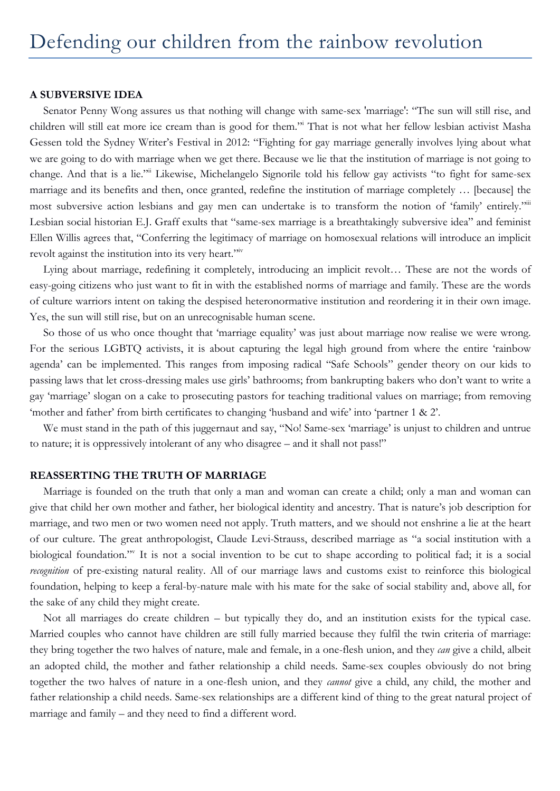#### **A SUBVERSIVE IDEA**

Senator Penny Wong assures us that nothing will change with same-sex 'marriage': "The sun will still rise, and children will still eat more ice cream than is good for them."i That is not what her fellow lesbian activist Masha Gessen told the Sydney Writer's Festival in 2012: "Fighting for gay marriage generally involves lying about what we are going to do with marriage when we get there. Because we lie that the institution of marriage is not going to change. And that is a lie."ii Likewise, Michelangelo Signorile told his fellow gay activists "to fight for same-sex marriage and its benefits and then, once granted, redefine the institution of marriage completely … [because] the most subversive action lesbians and gay men can undertake is to transform the notion of 'family' entirely."" Lesbian social historian E.J. Graff exults that "same-sex marriage is a breathtakingly subversive idea" and feminist Ellen Willis agrees that, "Conferring the legitimacy of marriage on homosexual relations will introduce an implicit revolt against the institution into its very heart."<sup>iv</sup>

Lying about marriage, redefining it completely, introducing an implicit revolt… These are not the words of easy-going citizens who just want to fit in with the established norms of marriage and family. These are the words of culture warriors intent on taking the despised heteronormative institution and reordering it in their own image. Yes, the sun will still rise, but on an unrecognisable human scene.

So those of us who once thought that 'marriage equality' was just about marriage now realise we were wrong. For the serious LGBTQ activists, it is about capturing the legal high ground from where the entire 'rainbow agenda' can be implemented. This ranges from imposing radical "Safe Schools" gender theory on our kids to passing laws that let cross-dressing males use girls' bathrooms; from bankrupting bakers who don't want to write a gay 'marriage' slogan on a cake to prosecuting pastors for teaching traditional values on marriage; from removing 'mother and father' from birth certificates to changing 'husband and wife' into 'partner 1 & 2'.

We must stand in the path of this juggernaut and say, "No! Same-sex 'marriage' is unjust to children and untrue to nature; it is oppressively intolerant of any who disagree – and it shall not pass!"

## **REASSERTING THE TRUTH OF MARRIAGE**

Marriage is founded on the truth that only a man and woman can create a child; only a man and woman can give that child her own mother and father, her biological identity and ancestry. That is nature's job description for marriage, and two men or two women need not apply. Truth matters, and we should not enshrine a lie at the heart of our culture. The great anthropologist, Claude Levi-Strauss, described marriage as "a social institution with a biological foundation." It is not a social invention to be cut to shape according to political fad; it is a social *recognition* of pre-existing natural reality. All of our marriage laws and customs exist to reinforce this biological foundation, helping to keep a feral-by-nature male with his mate for the sake of social stability and, above all, for the sake of any child they might create.

Not all marriages do create children – but typically they do, and an institution exists for the typical case. Married couples who cannot have children are still fully married because they fulfil the twin criteria of marriage: they bring together the two halves of nature, male and female, in a one-flesh union, and they *can* give a child, albeit an adopted child, the mother and father relationship a child needs. Same-sex couples obviously do not bring together the two halves of nature in a one-flesh union, and they *cannot* give a child, any child, the mother and father relationship a child needs. Same-sex relationships are a different kind of thing to the great natural project of marriage and family – and they need to find a different word.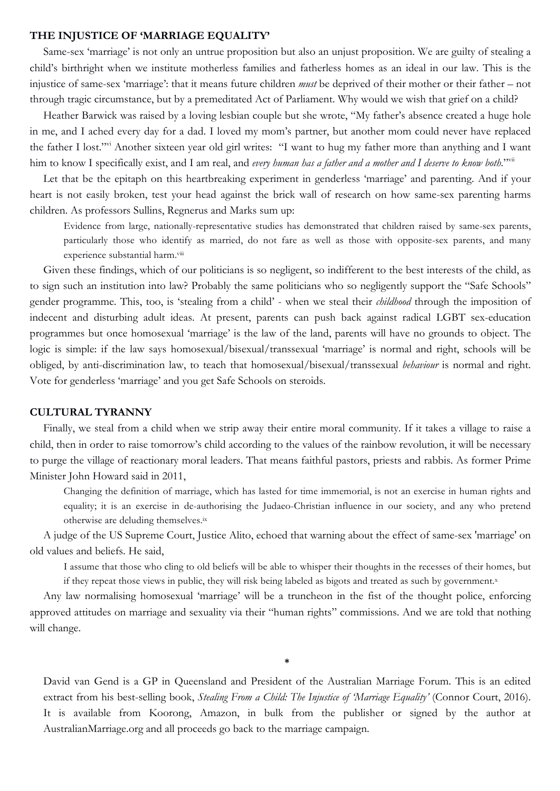## **THE INJUSTICE OF 'MARRIAGE EQUALITY'**

Same-sex 'marriage' is not only an untrue proposition but also an unjust proposition. We are guilty of stealing a child's birthright when we institute motherless families and fatherless homes as an ideal in our law. This is the injustice of same-sex 'marriage': that it means future children *must* be deprived of their mother or their father – not through tragic circumstance, but by a premeditated Act of Parliament. Why would we wish that grief on a child?

Heather Barwick was raised by a loving lesbian couple but she wrote, "My father's absence created a huge hole in me, and I ached every day for a dad. I loved my mom's partner, but another mom could never have replaced the father I lost."vi Another sixteen year old girl writes: "I want to hug my father more than anything and I want him to know I specifically exist, and I am real, and *every human has a father and a mother and I deserve to know both*."<sup>vii</sup>

Let that be the epitaph on this heartbreaking experiment in genderless 'marriage' and parenting. And if your heart is not easily broken, test your head against the brick wall of research on how same-sex parenting harms children. As professors Sullins, Regnerus and Marks sum up:

Evidence from large, nationally-representative studies has demonstrated that children raised by same-sex parents, particularly those who identify as married, do not fare as well as those with opposite-sex parents, and many experience substantial harm.viii

Given these findings, which of our politicians is so negligent, so indifferent to the best interests of the child, as to sign such an institution into law? Probably the same politicians who so negligently support the "Safe Schools" gender programme. This, too, is 'stealing from a child' - when we steal their *childhood* through the imposition of indecent and disturbing adult ideas. At present, parents can push back against radical LGBT sex-education programmes but once homosexual 'marriage' is the law of the land, parents will have no grounds to object. The logic is simple: if the law says homosexual/bisexual/transsexual 'marriage' is normal and right, schools will be obliged, by anti-discrimination law, to teach that homosexual/bisexual/transsexual *behaviour* is normal and right. Vote for genderless 'marriage' and you get Safe Schools on steroids.

#### **CULTURAL TYRANNY**

Finally, we steal from a child when we strip away their entire moral community. If it takes a village to raise a child, then in order to raise tomorrow's child according to the values of the rainbow revolution, it will be necessary to purge the village of reactionary moral leaders. That means faithful pastors, priests and rabbis. As former Prime Minister John Howard said in 2011,

Changing the definition of marriage, which has lasted for time immemorial, is not an exercise in human rights and equality; it is an exercise in de-authorising the Judaeo-Christian influence in our society, and any who pretend otherwise are deluding themselves.ix

A judge of the US Supreme Court, Justice Alito, echoed that warning about the effect of same-sex 'marriage' on old values and beliefs. He said,

I assume that those who cling to old beliefs will be able to whisper their thoughts in the recesses of their homes, but if they repeat those views in public, they will risk being labeled as bigots and treated as such by government.x

Any law normalising homosexual 'marriage' will be a truncheon in the fist of the thought police, enforcing approved attitudes on marriage and sexuality via their "human rights" commissions. And we are told that nothing will change.

David van Gend is a GP in Queensland and President of the Australian Marriage Forum. This is an edited extract from his best-selling book, *Stealing From a Child: The Injustice of 'Marriage Equality'* (Connor Court, 2016). It is available from Koorong, Amazon, in bulk from the publisher or signed by the author at AustralianMarriage.org and all proceeds go back to the marriage campaign.

\*